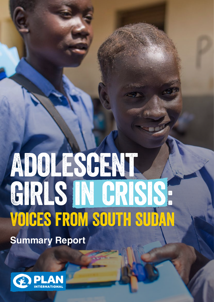# ADOLESCENT GIRLS IN CRISIS. Voices from South Sudan **Summary Report**

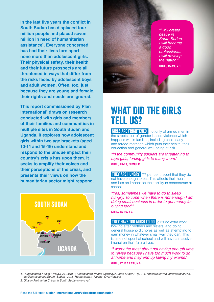**In the last five years the conflict in South Sudan has displaced four million people and placed seven million in need of humanitarian assistance<sup>1</sup> . Everyone concerned has had their lives torn apart: none more than adolescent girls. Their physical safety, their health and their future prospects are all threatened in ways that differ from the risks faced by adolescent boys and adult women. Often, too, just because they are young and female, their rights and needs are ignored.** 

**This report commissioned by Plan International<sup>2</sup> draws on research conducted with girls and members of their families and communities in multiple sites in South Sudan and Uganda. It explores how adolescent girls within two age brackets (aged 10-14 and 15-19) understand and respond to the unique impact their country's crisis has upon them. It seeks to amplify their voices and their perceptions of the crisis, and presents their views on how the humanitarian sector might respond.**





"I will create peace in *South Sudan.*  I will become a good *professional. I will develop*  the nation. **GIRL, 15-19, YEI**

### What Did The Girls Tell Us?

**GIRLS ARE FRIGHTENED:** not only of armed men in the streets, but of gender-based violence which happens within families, including child, early and forced marriage which puts their health, their education and general well-being at risk.

"In the community soldiers are threatening to rape girls, forcing girls to marry them." **GIRL, 15-19, NIMULE**

**THEY ARE HUNGRY:** 77 per cent report that they do not have enough to eat. This affects their health and has an impact on their ability to concentrate at school.

"Yes, sometimes we have to go to sleep hungry. To cope when there is not enough I am doing small business in order to get money for buying food."

**GIRL, 15-19, YEI**

**THEY HAVE TOO MUCH TO DO:** girls do extra work looking after brothers and sisters, and doing general household chores as well as attempting to earn money in whatever small way they can. This is time not spent at school and will have a massive impact on their future lives.

"I worry the most about not having enough time to revise because I have too much work to do at home and may end up failing my exams." **GIRL, 17, BARATUKA**

*1. Humanitarian Affairs (UNOCHA). 2018. "Humanitarian Needs Overview: South Sudan." Pp. 2-4. https://reliefweb.int/sites/reliefweb.* int/files/resources/South\_Sudan\_2018\_Humanitarian\_Needs\_Overview.pdf

2. Girls in Protracted Crises in South Sudan online ref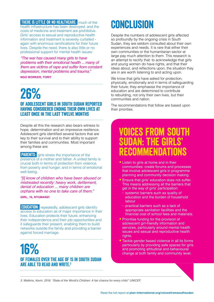**THERE IS LITTLE OR NO HEALTHCARE:** much of the health infrastructure has been destroyed, and the costs of medicine and treatment are prohibitive. Girls' access to sexual and reproductive health information and treatment is severely curtailed again with enormous ramifications for their future lives. Despite the need, there is also little or no professional support for mental health issues:

"The war has caused many girls to have problems with their emotional health ... many of them are victims of rape and suffer from constant depression, mental problems and trauma."

**NGO WORKER, TORIT**

## 26%

### of adolescent girls in South Sudan reported having considered ending their own lives at least once in the last twelve months

Despite all this the research also bears witness to hope, determination and an impressive resilience. Adolescent girls identified several factors that are key to their survival and to their ability to support their families and communities. Most important among these are:

**PARENTS:** girls stress the importance of the presence of a mother and father. A united family is crucial both in terms of protection from violence, from poverty and hunger, and in terms of emotional well-being.

"[I] know of children who have been abused or mistreated recently: heavy work, defilement, denial of education ... many children are orphans with no one to take care of them."

**GIRL, 16, NYUMANZI**

**EDUCATION:** repeatedly, adolescent girls identify access to education as of major importance in their lives. Education protects their future, enhancing their independence and their job opportunities and it safeguards their present, enabling them to build networks outside the family and providing a barrier against forced marriage.

### 16% of females over the age of 15 in South Sudan are able to read and write.3

### Conclusion

Despite the numbers of adolescent girls affected so profoundly by the ongoing crisis in South Sudan, they are seldom consulted about their own experiences and needs. It is rare that either their own communities or the humanitarian sector at large pay much attention to them. This research is an attempt to rectify that: to acknowledge that girls and young women do have rights, and that their ideas about, and reflections upon, the situation they are in are worth listening to and acting upon.

We know that girls have asked for protection, physically, emotionally and in terms of safeguarding their future; they emphasise the importance of education and are determined to contribute to rebuilding, not only their own lives, but their communities and nation.

The recommendations that follow are based upon their priorities.

### Voices from South Sudan: the girls' rinmendat

- Listen to girls at home and in their communities: create forums and processes that involve adolescent girls in programme planning and community decision making.
- Ensure that girls' education does not suffer. This means addressing all the barriers that get in the way of girls' participation:
- systemic barriers such as quality of education and the burden of household labour
- practical barriers such as a lack of appropriate sanitation facilities and the financial cost of school fees and materials.
- Prioritise funding for the provision of adolescent girl-friendly information and services, particularly around mental health issues and sexual and reproductive health rights.
- Tackle gender based violence in all its forms particularly by providing safe spaces for girls and promoting attitudinal and behavioural change at both family and community level.

3. Watkins, Kevin. 2016. "State of the World's Children: A fair chance for every child." UNICEF.